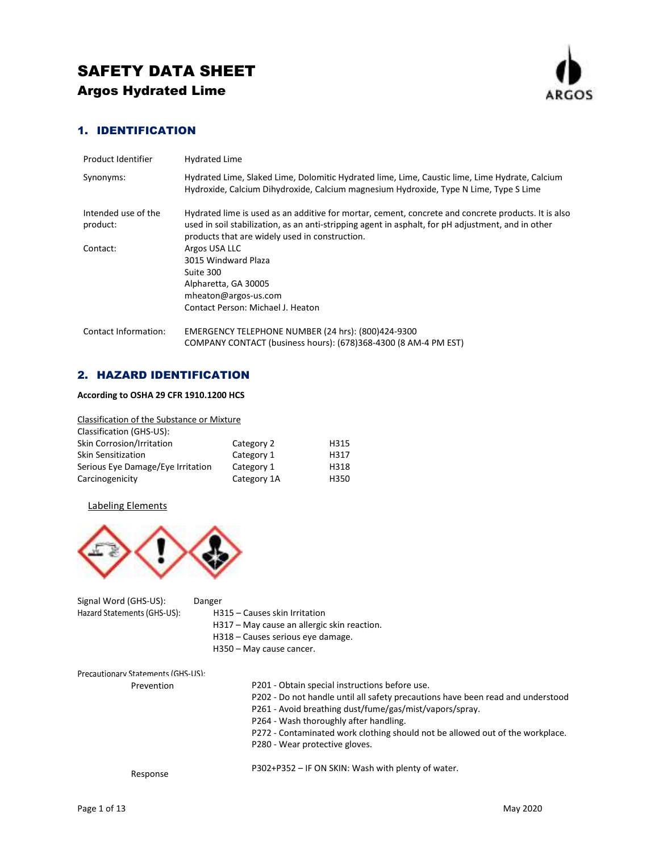

## 1. IDENTIFICATION

| Product Identifier              | <b>Hydrated Lime</b>                                                                                                                                                                                                                                        |
|---------------------------------|-------------------------------------------------------------------------------------------------------------------------------------------------------------------------------------------------------------------------------------------------------------|
| Synonyms:                       | Hydrated Lime, Slaked Lime, Dolomitic Hydrated lime, Lime, Caustic lime, Lime Hydrate, Calcium<br>Hydroxide, Calcium Dihydroxide, Calcium magnesium Hydroxide, Type N Lime, Type S Lime                                                                     |
| Intended use of the<br>product: | Hydrated lime is used as an additive for mortar, cement, concrete and concrete products. It is also<br>used in soil stabilization, as an anti-stripping agent in asphalt, for pH adjustment, and in other<br>products that are widely used in construction. |
| Contact:                        | Argos USA LLC<br>3015 Windward Plaza<br>Suite 300<br>Alpharetta, GA 30005<br>mheaton@argos-us.com<br>Contact Person: Michael J. Heaton                                                                                                                      |
| Contact Information:            | EMERGENCY TELEPHONE NUMBER (24 hrs): (800)424-9300<br>COMPANY CONTACT (business hours): (678)368-4300 (8 AM-4 PM EST)                                                                                                                                       |

## 2. HAZARD IDENTIFICATION

## **According to OSHA 29 CFR 1910.1200 HCS**

| Classification of the Substance or Mixture |             |      |
|--------------------------------------------|-------------|------|
| Classification (GHS-US):                   |             |      |
| Skin Corrosion/Irritation                  | Category 2  | H315 |
| <b>Skin Sensitization</b>                  | Category 1  | H317 |
| Serious Eye Damage/Eye Irritation          | Category 1  | H318 |
| Carcinogenicity                            | Category 1A | H350 |

Labeling Elements



| Signal Word (GHS-US):<br>Hazard Statements (GHS-US): | Danger<br>H315 - Causes skin Irritation<br>H317 – May cause an allergic skin reaction.<br>H318 – Causes serious eye damage.<br>H350 - May cause cancer.                                                                                                                                                                                                   |
|------------------------------------------------------|-----------------------------------------------------------------------------------------------------------------------------------------------------------------------------------------------------------------------------------------------------------------------------------------------------------------------------------------------------------|
| Precautionary Statements (GHS-US):<br>Prevention     | P201 - Obtain special instructions before use.<br>P202 - Do not handle until all safety precautions have been read and understood<br>P261 - Avoid breathing dust/fume/gas/mist/vapors/spray.<br>P264 - Wash thoroughly after handling.<br>P272 - Contaminated work clothing should not be allowed out of the workplace.<br>P280 - Wear protective gloves. |
| Response                                             | P302+P352 - IF ON SKIN: Wash with plenty of water.                                                                                                                                                                                                                                                                                                        |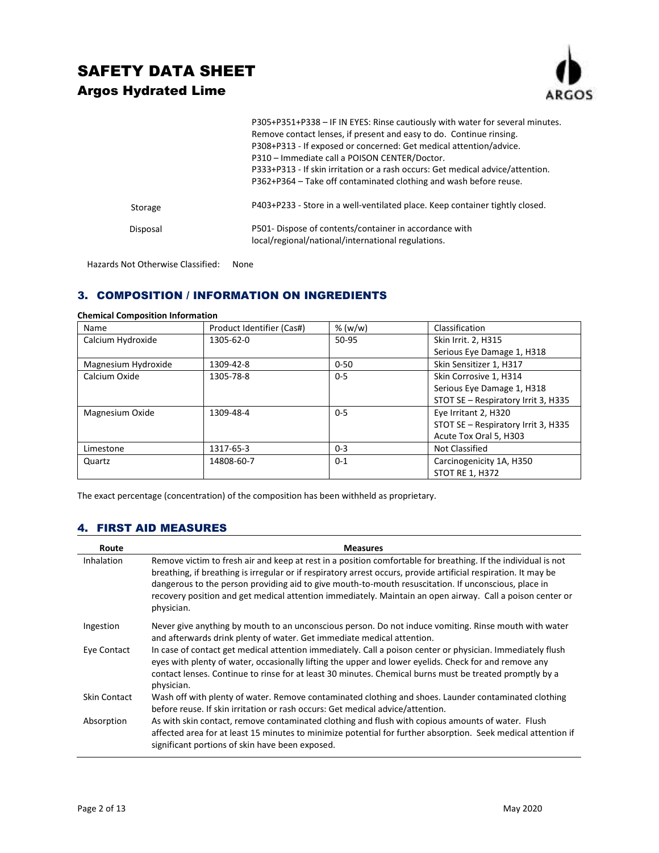

|          | P305+P351+P338 - IF IN EYES: Rinse cautiously with water for several minutes.  |
|----------|--------------------------------------------------------------------------------|
|          | Remove contact lenses, if present and easy to do. Continue rinsing.            |
|          | P308+P313 - If exposed or concerned: Get medical attention/advice.             |
|          | P310 - Immediate call a POISON CENTER/Doctor.                                  |
|          | P333+P313 - If skin irritation or a rash occurs: Get medical advice/attention. |
|          | P362+P364 – Take off contaminated clothing and wash before reuse.              |
| Storage  | P403+P233 - Store in a well-ventilated place. Keep container tightly closed.   |
| Disposal | P501- Dispose of contents/container in accordance with                         |
|          | local/regional/national/international regulations.                             |

Hazards Not Otherwise Classified: None

## 3. COMPOSITION / INFORMATION ON INGREDIENTS

| Name                | Product Identifier (Cas#) | % (w/w)  | Classification                      |
|---------------------|---------------------------|----------|-------------------------------------|
| Calcium Hydroxide   | 1305-62-0                 | $50-95$  | Skin Irrit. 2, H315                 |
|                     |                           |          | Serious Eye Damage 1, H318          |
| Magnesium Hydroxide | 1309-42-8                 | $0 - 50$ | Skin Sensitizer 1, H317             |
| Calcium Oxide       | 1305-78-8                 | $0 - 5$  | Skin Corrosive 1, H314              |
|                     |                           |          | Serious Eye Damage 1, H318          |
|                     |                           |          | STOT SE - Respiratory Irrit 3, H335 |
| Magnesium Oxide     | 1309-48-4                 | $0 - 5$  | Eye Irritant 2, H320                |
|                     |                           |          | STOT SE - Respiratory Irrit 3, H335 |
|                     |                           |          | Acute Tox Oral 5, H303              |
| Limestone           | 1317-65-3                 | $0 - 3$  | Not Classified                      |
| Quartz              | 14808-60-7                | $0 - 1$  | Carcinogenicity 1A, H350            |
|                     |                           |          | <b>STOT RE 1, H372</b>              |

**Chemical Composition Information** 

The exact percentage (concentration) of the composition has been withheld as proprietary.

## 4. FIRST AID MEASURES

| Route        | <b>Measures</b>                                                                                                                                                                                                                                                                                                                                                                                                                                                     |
|--------------|---------------------------------------------------------------------------------------------------------------------------------------------------------------------------------------------------------------------------------------------------------------------------------------------------------------------------------------------------------------------------------------------------------------------------------------------------------------------|
| Inhalation   | Remove victim to fresh air and keep at rest in a position comfortable for breathing. If the individual is not<br>breathing, if breathing is irregular or if respiratory arrest occurs, provide artificial respiration. It may be<br>dangerous to the person providing aid to give mouth-to-mouth resuscitation. If unconscious, place in<br>recovery position and get medical attention immediately. Maintain an open airway. Call a poison center or<br>physician. |
| Ingestion    | Never give anything by mouth to an unconscious person. Do not induce vomiting. Rinse mouth with water<br>and afterwards drink plenty of water. Get immediate medical attention.                                                                                                                                                                                                                                                                                     |
| Eye Contact  | In case of contact get medical attention immediately. Call a poison center or physician. Immediately flush<br>eyes with plenty of water, occasionally lifting the upper and lower eyelids. Check for and remove any<br>contact lenses. Continue to rinse for at least 30 minutes. Chemical burns must be treated promptly by a<br>physician.                                                                                                                        |
| Skin Contact | Wash off with plenty of water. Remove contaminated clothing and shoes. Launder contaminated clothing<br>before reuse. If skin irritation or rash occurs: Get medical advice/attention.                                                                                                                                                                                                                                                                              |
| Absorption   | As with skin contact, remove contaminated clothing and flush with copious amounts of water. Flush<br>affected area for at least 15 minutes to minimize potential for further absorption. Seek medical attention if<br>significant portions of skin have been exposed.                                                                                                                                                                                               |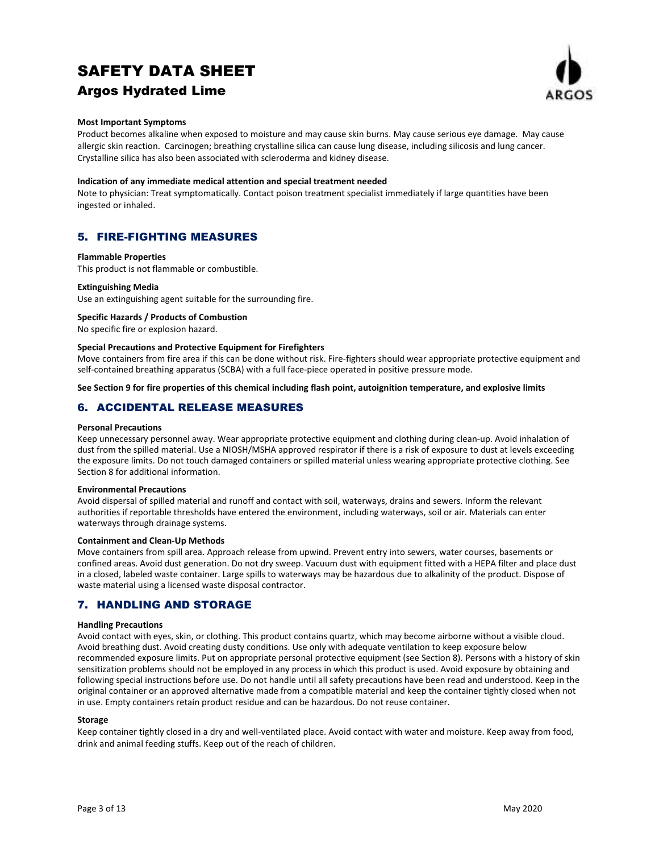

### **Most Important Symptoms**

Product becomes alkaline when exposed to moisture and may cause skin burns. May cause serious eye damage. May cause allergic skin reaction. Carcinogen; breathing crystalline silica can cause lung disease, including silicosis and lung cancer. Crystalline silica has also been associated with scleroderma and kidney disease.

#### **Indication of any immediate medical attention and special treatment needed**

Note to physician: Treat symptomatically. Contact poison treatment specialist immediately if large quantities have been ingested or inhaled.

## 5. FIRE-FIGHTING MEASURES

#### **Flammable Properties**

This product is not flammable or combustible.

#### **Extinguishing Media**

Use an extinguishing agent suitable for the surrounding fire.

### **Specific Hazards / Products of Combustion**

No specific fire or explosion hazard.

#### **Special Precautions and Protective Equipment for Firefighters**

Move containers from fire area if this can be done without risk. Fire-fighters should wear appropriate protective equipment and self-contained breathing apparatus (SCBA) with a full face-piece operated in positive pressure mode.

### **See Section 9 for fire properties of this chemical including flash point, autoignition temperature, and explosive limits**

## 6. ACCIDENTAL RELEASE MEASURES

#### **Personal Precautions**

Keep unnecessary personnel away. Wear appropriate protective equipment and clothing during clean-up. Avoid inhalation of dust from the spilled material. Use a NIOSH/MSHA approved respirator if there is a risk of exposure to dust at levels exceeding the exposure limits. Do not touch damaged containers or spilled material unless wearing appropriate protective clothing. See Section 8 for additional information.

#### **Environmental Precautions**

Avoid dispersal of spilled material and runoff and contact with soil, waterways, drains and sewers. Inform the relevant authorities if reportable thresholds have entered the environment, including waterways, soil or air. Materials can enter waterways through drainage systems.

#### **Containment and Clean-Up Methods**

Move containers from spill area. Approach release from upwind. Prevent entry into sewers, water courses, basements or confined areas. Avoid dust generation. Do not dry sweep. Vacuum dust with equipment fitted with a HEPA filter and place dust in a closed, labeled waste container. Large spills to waterways may be hazardous due to alkalinity of the product. Dispose of waste material using a licensed waste disposal contractor.

## 7. HANDLING AND STORAGE

#### **Handling Precautions**

Avoid contact with eyes, skin, or clothing. This product contains quartz, which may become airborne without a visible cloud. Avoid breathing dust. Avoid creating dusty conditions. Use only with adequate ventilation to keep exposure below recommended exposure limits. Put on appropriate personal protective equipment (see Section 8). Persons with a history of skin sensitization problems should not be employed in any process in which this product is used. Avoid exposure by obtaining and following special instructions before use. Do not handle until all safety precautions have been read and understood. Keep in the original container or an approved alternative made from a compatible material and keep the container tightly closed when not in use. Empty containers retain product residue and can be hazardous. Do not reuse container.

#### **Storage**

Keep container tightly closed in a dry and well-ventilated place. Avoid contact with water and moisture. Keep away from food, drink and animal feeding stuffs. Keep out of the reach of children.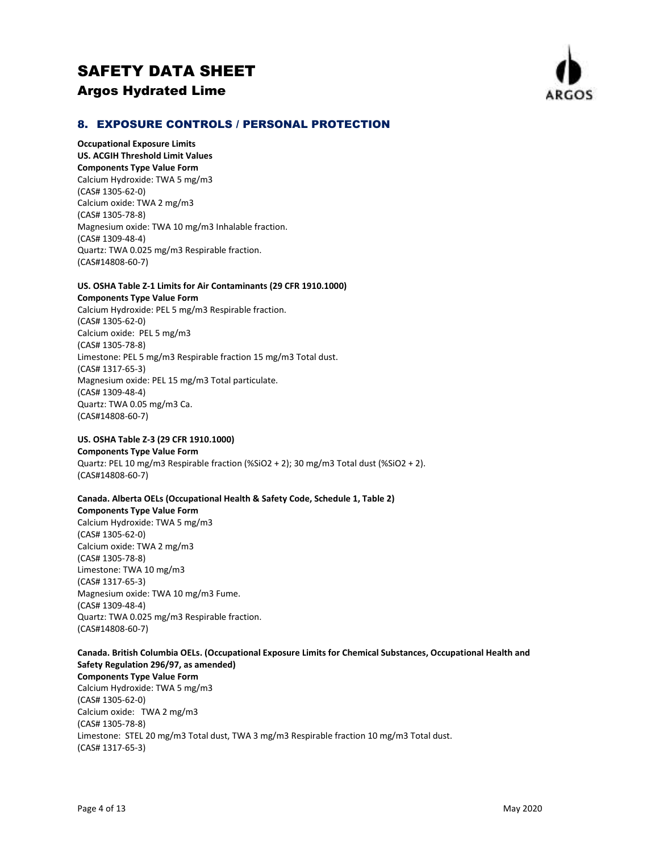# SAFETY DATA SHEET



## Argos Hydrated Lime

## 8. EXPOSURE CONTROLS / PERSONAL PROTECTION

## **Occupational Exposure Limits**

**US. ACGIH Threshold Limit Values Components Type Value Form**  Calcium Hydroxide: TWA 5 mg/m3 (CAS# 1305-62-0) Calcium oxide: TWA 2 mg/m3 (CAS# 1305-78-8) Magnesium oxide: TWA 10 mg/m3 Inhalable fraction. (CAS# 1309-48-4) Quartz: TWA 0.025 mg/m3 Respirable fraction. (CAS#14808-60-7)

### **US. OSHA Table Z-1 Limits for Air Contaminants (29 CFR 1910.1000)**

**Components Type Value Form**  Calcium Hydroxide: PEL 5 mg/m3 Respirable fraction. (CAS# 1305-62-0) Calcium oxide: PEL 5 mg/m3 (CAS# 1305-78-8) Limestone: PEL 5 mg/m3 Respirable fraction 15 mg/m3 Total dust. (CAS# 1317-65-3) Magnesium oxide: PEL 15 mg/m3 Total particulate. (CAS# 1309-48-4) Quartz: TWA 0.05 mg/m3 Ca. (CAS#14808-60-7)

### **US. OSHA Table Z-3 (29 CFR 1910.1000)**

### **Components Type Value Form**

Quartz: PEL 10 mg/m3 Respirable fraction (%SiO2 + 2); 30 mg/m3 Total dust (%SiO2 + 2). (CAS#14808-60-7)

### **Canada. Alberta OELs (Occupational Health & Safety Code, Schedule 1, Table 2)**

**Components Type Value Form**  Calcium Hydroxide: TWA 5 mg/m3 (CAS# 1305-62-0) Calcium oxide: TWA 2 mg/m3 (CAS# 1305-78-8) Limestone: TWA 10 mg/m3 (CAS# 1317-65-3) Magnesium oxide: TWA 10 mg/m3 Fume. (CAS# 1309-48-4) Quartz: TWA 0.025 mg/m3 Respirable fraction. (CAS#14808-60-7)

### **Canada. British Columbia OELs. (Occupational Exposure Limits for Chemical Substances, Occupational Health and Safety Regulation 296/97, as amended) Components Type Value Form**

Calcium Hydroxide: TWA 5 mg/m3 (CAS# 1305-62-0) Calcium oxide: TWA 2 mg/m3 (CAS# 1305-78-8) Limestone: STEL 20 mg/m3 Total dust, TWA 3 mg/m3 Respirable fraction 10 mg/m3 Total dust. (CAS# 1317-65-3)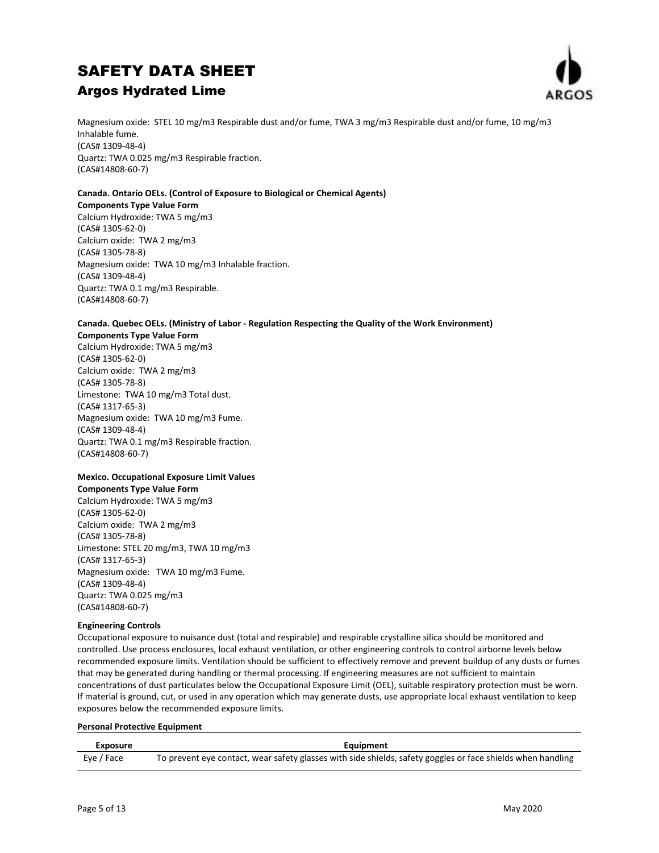

Magnesium oxide: STEL 10 mg/m3 Respirable dust and/or fume, TWA 3 mg/m3 Respirable dust and/or fume, 10 mg/m3 Inhalable fume. (CAS# 1309-48-4) Quartz: TWA 0.025 mg/m3 Respirable fraction. (CAS#14808-60-7)

### **Canada. Ontario OELs. (Control of Exposure to Biological or Chemical Agents)**

**Components Type Value Form**  Calcium Hydroxide: TWA 5 mg/m3 (CAS# 1305-62-0) Calcium oxide: TWA 2 mg/m3 (CAS# 1305-78-8) Magnesium oxide: TWA 10 mg/m3 Inhalable fraction. (CAS# 1309-48-4)

Quartz: TWA 0.1 mg/m3 Respirable. (CAS#14808-60-7)

### **Canada. Quebec OELs. (Ministry of Labor - Regulation Respecting the Quality of the Work Environment)**

**Components Type Value Form**  Calcium Hydroxide: TWA 5 mg/m3 (CAS# 1305-62-0) Calcium oxide: TWA 2 mg/m3 (CAS# 1305-78-8) Limestone: TWA 10 mg/m3 Total dust. (CAS# 1317-65-3) Magnesium oxide: TWA 10 mg/m3 Fume. (CAS# 1309-48-4) Quartz: TWA 0.1 mg/m3 Respirable fraction. (CAS#14808-60-7)

## **Mexico. Occupational Exposure Limit Values**

**Components Type Value Form**  Calcium Hydroxide: TWA 5 mg/m3 (CAS# 1305-62-0) Calcium oxide: TWA 2 mg/m3 (CAS# 1305-78-8) Limestone: STEL 20 mg/m3, TWA 10 mg/m3 (CAS# 1317-65-3) Magnesium oxide: TWA 10 mg/m3 Fume. (CAS# 1309-48-4) Quartz: TWA 0.025 mg/m3 (CAS#14808-60-7)

### **Engineering Controls**

Occupational exposure to nuisance dust (total and respirable) and respirable crystalline silica should be monitored and controlled. Use process enclosures, local exhaust ventilation, or other engineering controls to control airborne levels below recommended exposure limits. Ventilation should be sufficient to effectively remove and prevent buildup of any dusts or fumes that may be generated during handling or thermal processing. If engineering measures are not sufficient to maintain concentrations of dust particulates below the Occupational Exposure Limit (OEL), suitable respiratory protection must be worn. If material is ground, cut, or used in any operation which may generate dusts, use appropriate local exhaust ventilation to keep exposures below the recommended exposure limits.

### **Personal Protective Equipment**

| Exposure   | Equipment                                                                                                   |
|------------|-------------------------------------------------------------------------------------------------------------|
| Eye / Face | To prevent eye contact, wear safety glasses with side shields, safety goggles or face shields when handling |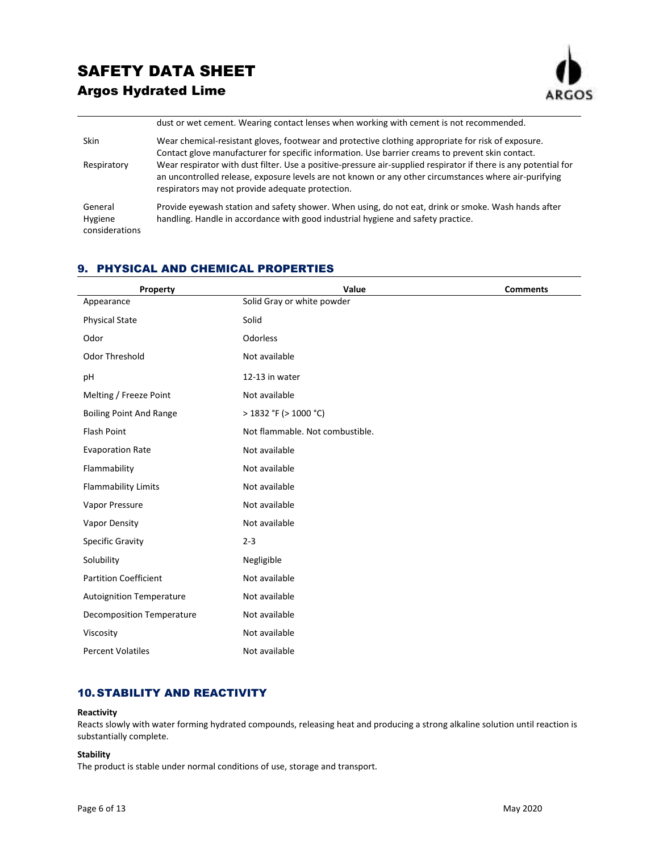

dust or wet cement. Wearing contact lenses when working with cement is not recommended.

| <b>Skin</b>                          | Wear chemical-resistant gloves, footwear and protective clothing appropriate for risk of exposure.<br>Contact glove manufacturer for specific information. Use barrier creams to prevent skin contact.                                                                       |
|--------------------------------------|------------------------------------------------------------------------------------------------------------------------------------------------------------------------------------------------------------------------------------------------------------------------------|
| Respiratory                          | Wear respirator with dust filter. Use a positive-pressure air-supplied respirator if there is any potential for<br>an uncontrolled release, exposure levels are not known or any other circumstances where air-purifying<br>respirators may not provide adequate protection. |
| General<br>Hygiene<br>considerations | Provide eyewash station and safety shower. When using, do not eat, drink or smoke. Wash hands after<br>handling. Handle in accordance with good industrial hygiene and safety practice.                                                                                      |

## 9. PHYSICAL AND CHEMICAL PROPERTIES

| Property                         | Value                           | <b>Comments</b> |
|----------------------------------|---------------------------------|-----------------|
| Appearance                       | Solid Gray or white powder      |                 |
| <b>Physical State</b>            | Solid                           |                 |
| Odor                             | Odorless                        |                 |
| Odor Threshold                   | Not available                   |                 |
| pH                               | 12-13 in water                  |                 |
| Melting / Freeze Point           | Not available                   |                 |
| <b>Boiling Point And Range</b>   | $>$ 1832 °F ( $>$ 1000 °C)      |                 |
| Flash Point                      | Not flammable. Not combustible. |                 |
| <b>Evaporation Rate</b>          | Not available                   |                 |
| Flammability                     | Not available                   |                 |
| <b>Flammability Limits</b>       | Not available                   |                 |
| Vapor Pressure                   | Not available                   |                 |
| Vapor Density                    | Not available                   |                 |
| <b>Specific Gravity</b>          | $2 - 3$                         |                 |
| Solubility                       | Negligible                      |                 |
| <b>Partition Coefficient</b>     | Not available                   |                 |
| <b>Autoignition Temperature</b>  | Not available                   |                 |
| <b>Decomposition Temperature</b> | Not available                   |                 |
| Viscosity                        | Not available                   |                 |
| <b>Percent Volatiles</b>         | Not available                   |                 |

## 10. STABILITY AND REACTIVITY

## **Reactivity**

Reacts slowly with water forming hydrated compounds, releasing heat and producing a strong alkaline solution until reaction is substantially complete.

### **Stability**

The product is stable under normal conditions of use, storage and transport.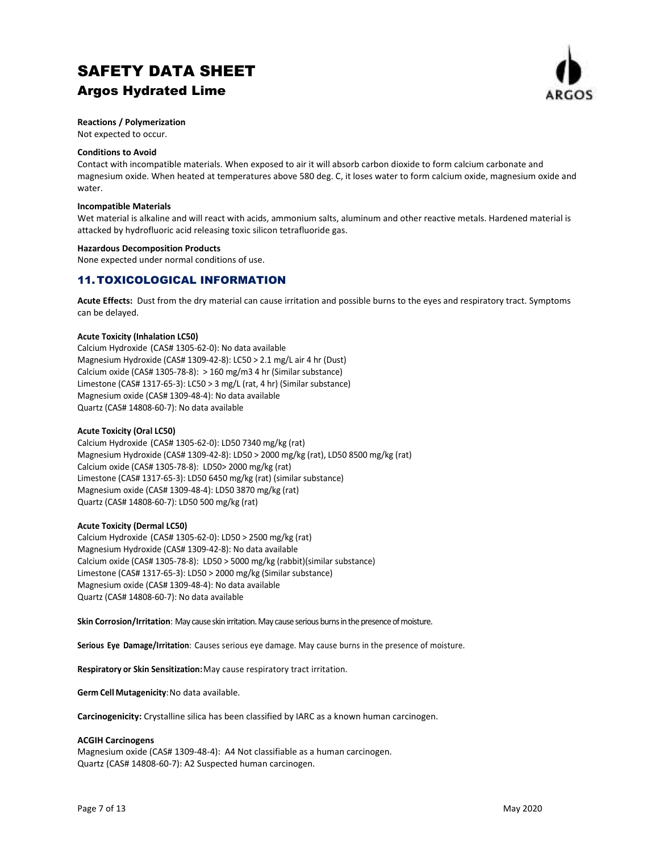

### **Reactions / Polymerization**

Not expected to occur.

### **Conditions to Avoid**

Contact with incompatible materials. When exposed to air it will absorb carbon dioxide to form calcium carbonate and magnesium oxide. When heated at temperatures above 580 deg. C, it loses water to form calcium oxide, magnesium oxide and water.

### **Incompatible Materials**

Wet material is alkaline and will react with acids, ammonium salts, aluminum and other reactive metals. Hardened material is attacked by hydrofluoric acid releasing toxic silicon tetrafluoride gas.

### **Hazardous Decomposition Products**

None expected under normal conditions of use.

## 11. TOXICOLOGICAL INFORMATION

**Acute Effects:** Dust from the dry material can cause irritation and possible burns to the eyes and respiratory tract. Symptoms can be delayed.

### **Acute Toxicity (Inhalation LC50)**

Calcium Hydroxide (CAS# 1305-62-0): No data available Magnesium Hydroxide (CAS# 1309-42-8): LC50 > 2.1 mg/L air 4 hr (Dust) Calcium oxide (CAS# 1305-78-8): > 160 mg/m3 4 hr (Similar substance) Limestone (CAS# 1317-65-3): LC50 > 3 mg/L (rat, 4 hr) (Similar substance) Magnesium oxide (CAS# 1309-48-4): No data available Quartz (CAS# 14808-60-7): No data available

### **Acute Toxicity (Oral LC50)**

Calcium Hydroxide (CAS# 1305-62-0): LD50 7340 mg/kg (rat) Magnesium Hydroxide (CAS# 1309-42-8): LD50 > 2000 mg/kg (rat), LD50 8500 mg/kg (rat) Calcium oxide (CAS# 1305-78-8): LD50> 2000 mg/kg (rat) Limestone (CAS# 1317-65-3): LD50 6450 mg/kg (rat) (similar substance) Magnesium oxide (CAS# 1309-48-4): LD50 3870 mg/kg (rat) Quartz (CAS# 14808-60-7): LD50 500 mg/kg (rat)

### **Acute Toxicity (Dermal LC50)**

Calcium Hydroxide (CAS# 1305-62-0): LD50 > 2500 mg/kg (rat) Magnesium Hydroxide (CAS# 1309-42-8): No data available Calcium oxide (CAS# 1305-78-8): LD50 > 5000 mg/kg (rabbit)(similar substance) Limestone (CAS# 1317-65-3): LD50 > 2000 mg/kg (Similar substance) Magnesium oxide (CAS# 1309-48-4): No data available Quartz (CAS# 14808-60-7): No data available

**Skin Corrosion/Irritation**: May cause skin irritation. May cause serious burns in the presence of moisture.

**Serious Eye Damage/Irritation**: Causes serious eye damage. May cause burns in the presence of moisture.

**Respiratory or Skin Sensitization:** May cause respiratory tract irritation.

**Germ Cell Mutagenicity**: No data available.

**Carcinogenicity:** Crystalline silica has been classified by IARC as a known human carcinogen.

### **ACGIH Carcinogens**

Magnesium oxide (CAS# 1309-48-4): A4 Not classifiable as a human carcinogen. Quartz (CAS# 14808-60-7): A2 Suspected human carcinogen.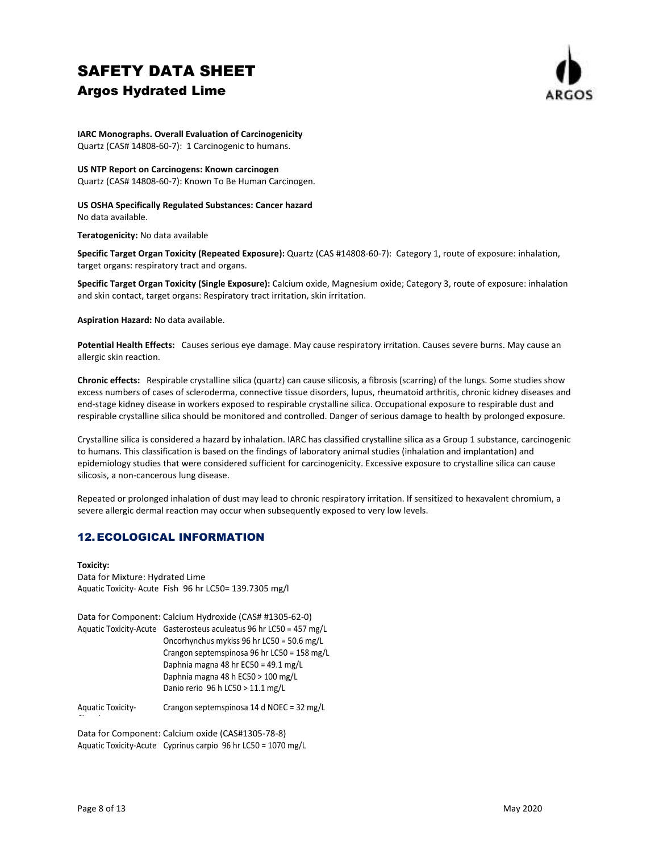

**IARC Monographs. Overall Evaluation of Carcinogenicity**  Quartz (CAS# 14808-60-7): 1 Carcinogenic to humans.

**US NTP Report on Carcinogens: Known carcinogen**  Quartz (CAS# 14808-60-7): Known To Be Human Carcinogen.

**US OSHA Specifically Regulated Substances: Cancer hazard**  No data available.

**Teratogenicity:** No data available

**Specific Target Organ Toxicity (Repeated Exposure):** Quartz (CAS #14808-60-7): Category 1, route of exposure: inhalation, target organs: respiratory tract and organs.

**Specific Target Organ Toxicity (Single Exposure):** Calcium oxide, Magnesium oxide; Category 3, route of exposure: inhalation and skin contact, target organs: Respiratory tract irritation, skin irritation.

**Aspiration Hazard:** No data available.

**Potential Health Effects:** Causes serious eye damage. May cause respiratory irritation. Causes severe burns. May cause an allergic skin reaction.

**Chronic effects:** Respirable crystalline silica (quartz) can cause silicosis, a fibrosis (scarring) of the lungs. Some studies show excess numbers of cases of scleroderma, connective tissue disorders, lupus, rheumatoid arthritis, chronic kidney diseases and end-stage kidney disease in workers exposed to respirable crystalline silica. Occupational exposure to respirable dust and respirable crystalline silica should be monitored and controlled. Danger of serious damage to health by prolonged exposure.

Crystalline silica is considered a hazard by inhalation. IARC has classified crystalline silica as a Group 1 substance, carcinogenic to humans. This classification is based on the findings of laboratory animal studies (inhalation and implantation) and epidemiology studies that were considered sufficient for carcinogenicity. Excessive exposure to crystalline silica can cause silicosis, a non-cancerous lung disease.

Repeated or prolonged inhalation of dust may lead to chronic respiratory irritation. If sensitized to hexavalent chromium, a severe allergic dermal reaction may occur when subsequently exposed to very low levels.

## 12. ECOLOGICAL INFORMATION

#### **Toxicity:**

Data for Mixture: Hydrated Lime Aquatic Toxicity- Acute Fish 96 hr LC50= 139.7305 mg/l

Data for Component: Calcium Hydroxide (CAS# #1305-62-0) Aquatic Toxicity-Acute Gasterosteus aculeatus 96 hr LC50 = 457 mg/L Oncorhynchus mykiss 96 hr LC50 = 50.6 mg/L Crangon septemspinosa 96 hr LC50 = 158 mg/L Daphnia magna 48 hr EC50 = 49.1 mg/L Daphnia magna 48 h EC50 > 100 mg/L Danio rerio 96 h LC50 > 11.1 mg/L Aquatic Toxicity-Crangon septemspinosa 14 d NOEC = 32 mg/L

Data for Component: Calcium oxide (CAS#1305-78-8) Aquatic Toxicity-Acute Cyprinus carpio 96 hr LC50 = 1070 mg/L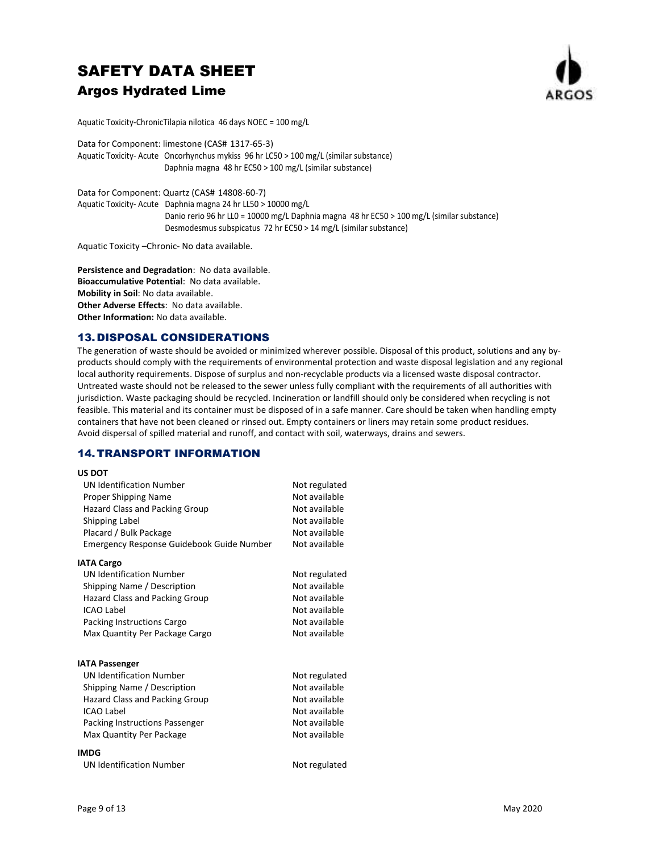

Aquatic Toxicity-ChronicTilapia nilotica 46 days NOEC = 100 mg/L

Data for Component: limestone (CAS# 1317-65-3) Aquatic Toxicity- Acute Oncorhynchus mykiss 96 hr LC50 > 100 mg/L (similar substance) Daphnia magna 48 hr EC50 > 100 mg/L (similar substance)

Data for Component: Quartz (CAS# 14808-60-7) Aquatic Toxicity- Acute Daphnia magna 24 hr LL50 > 10000 mg/L Danio rerio 96 hr LL0 = 10000 mg/L Daphnia magna 48 hr EC50 > 100 mg/L (similar substance) Desmodesmus subspicatus 72 hr EC50 > 14 mg/L (similar substance)

Aquatic Toxicity –Chronic- No data available.

**Persistence and Degradation**: No data available. **Bioaccumulative Potential**: No data available. **Mobility in Soil**: No data available. **Other Adverse Effects**: No data available. **Other Information:** No data available.

## 13.DISPOSAL CONSIDERATIONS

The generation of waste should be avoided or minimized wherever possible. Disposal of this product, solutions and any byproducts should comply with the requirements of environmental protection and waste disposal legislation and any regional local authority requirements. Dispose of surplus and non-recyclable products via a licensed waste disposal contractor. Untreated waste should not be released to the sewer unless fully compliant with the requirements of all authorities with jurisdiction. Waste packaging should be recycled. Incineration or landfill should only be considered when recycling is not feasible. This material and its container must be disposed of in a safe manner. Care should be taken when handling empty containers that have not been cleaned or rinsed out. Empty containers or liners may retain some product residues. Avoid dispersal of spilled material and runoff, and contact with soil, waterways, drains and sewers.

## 14. TRANSPORT INFORMATION

### **US DOT**

| <b>UN Identification Number</b><br>Proper Shipping Name<br>Hazard Class and Packing Group<br>Shipping Label<br>Placard / Bulk Package<br>Emergency Response Guidebook Guide Number | Not regulated<br>Not available<br>Not available<br>Not available<br>Not available<br>Not available |
|------------------------------------------------------------------------------------------------------------------------------------------------------------------------------------|----------------------------------------------------------------------------------------------------|
| <b>IATA Cargo</b>                                                                                                                                                                  |                                                                                                    |
| <b>UN Identification Number</b>                                                                                                                                                    | Not regulated                                                                                      |
| Shipping Name / Description                                                                                                                                                        | Not available                                                                                      |
| <b>Hazard Class and Packing Group</b>                                                                                                                                              | Not available                                                                                      |
| <b>ICAO Label</b>                                                                                                                                                                  | Not available                                                                                      |
| Packing Instructions Cargo                                                                                                                                                         | Not available                                                                                      |
| Max Quantity Per Package Cargo                                                                                                                                                     | Not available                                                                                      |
| IATA Passenger                                                                                                                                                                     |                                                                                                    |
| <b>UN Identification Number</b>                                                                                                                                                    | Not regulated                                                                                      |
| Shipping Name / Description                                                                                                                                                        | Not available                                                                                      |
| Hazard Class and Packing Group                                                                                                                                                     | Not available                                                                                      |
| <b>ICAO Label</b>                                                                                                                                                                  | Not available                                                                                      |
| Packing Instructions Passenger                                                                                                                                                     | Not available                                                                                      |
| Max Quantity Per Package                                                                                                                                                           | Not available                                                                                      |
| IMDG                                                                                                                                                                               |                                                                                                    |
| <b>UN Identification Number</b>                                                                                                                                                    | Not regulated                                                                                      |
|                                                                                                                                                                                    |                                                                                                    |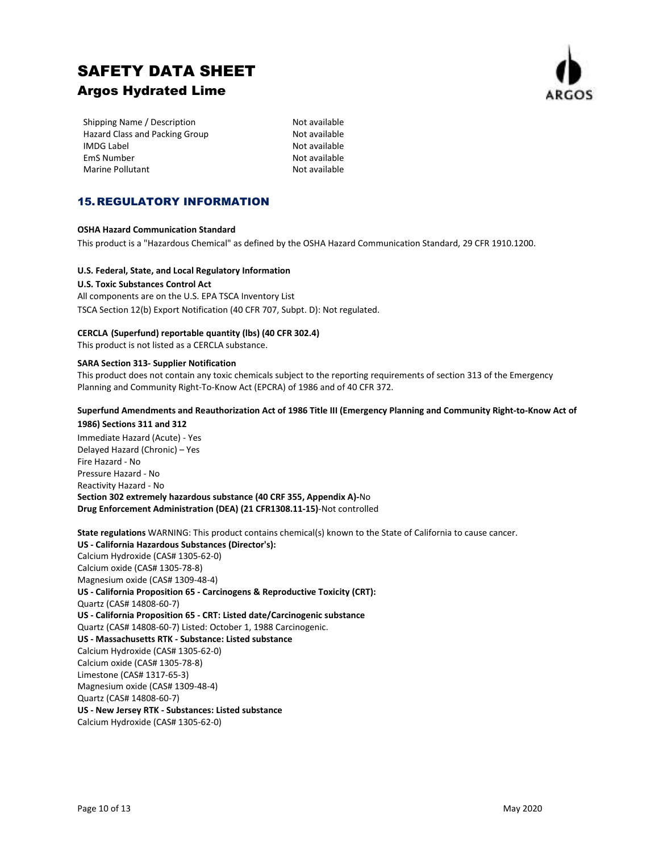

Shipping Name / Description Not available Hazard Class and Packing Group Not available IMDG Label Not available EmS Number Not available Marine Pollutant Not available

## 15.REGULATORY INFORMATION

### **OSHA Hazard Communication Standard**

This product is a "Hazardous Chemical" as defined by the OSHA Hazard Communication Standard, 29 CFR 1910.1200.

### **U.S. Federal, State, and Local Regulatory Information**

**U.S. Toxic Substances Control Act** 

All components are on the U.S. EPA TSCA Inventory List TSCA Section 12(b) Export Notification (40 CFR 707, Subpt. D): Not regulated.

### **CERCLA (Superfund) reportable quantity (lbs) (40 CFR 302.4)**

This product is not listed as a CERCLA substance.

### **SARA Section 313- Supplier Notification**

This product does not contain any toxic chemicals subject to the reporting requirements of section 313 of the Emergency Planning and Community Right-To-Know Act (EPCRA) of 1986 and of 40 CFR 372.

### **Superfund Amendments and Reauthorization Act of 1986 Title III (Emergency Planning and Community Right-to-Know Act of 1986) Sections 311 and 312**

Immediate Hazard (Acute) - Yes Delayed Hazard (Chronic) – Yes Fire Hazard - No Pressure Hazard - No Reactivity Hazard - No **Section 302 extremely hazardous substance (40 CRF 355, Appendix A)-**No **Drug Enforcement Administration (DEA) (21 CFR1308.11-15)**-Not controlled

**State regulations** WARNING: This product contains chemical(s) known to the State of California to cause cancer. **US - California Hazardous Substances (Director's):** Calcium Hydroxide (CAS# 1305-62-0) Calcium oxide (CAS# 1305-78-8) Magnesium oxide (CAS# 1309-48-4) **US - California Proposition 65 - Carcinogens & Reproductive Toxicity (CRT):** Quartz (CAS# 14808-60-7) **US - California Proposition 65 - CRT: Listed date/Carcinogenic substance**  Quartz (CAS# 14808-60-7) Listed: October 1, 1988 Carcinogenic. **US - Massachusetts RTK - Substance: Listed substance**  Calcium Hydroxide (CAS# 1305-62-0) Calcium oxide (CAS# 1305-78-8) Limestone (CAS# 1317-65-3) Magnesium oxide (CAS# 1309-48-4) Quartz (CAS# 14808-60-7) **US - New Jersey RTK - Substances: Listed substance**  Calcium Hydroxide (CAS# 1305-62-0)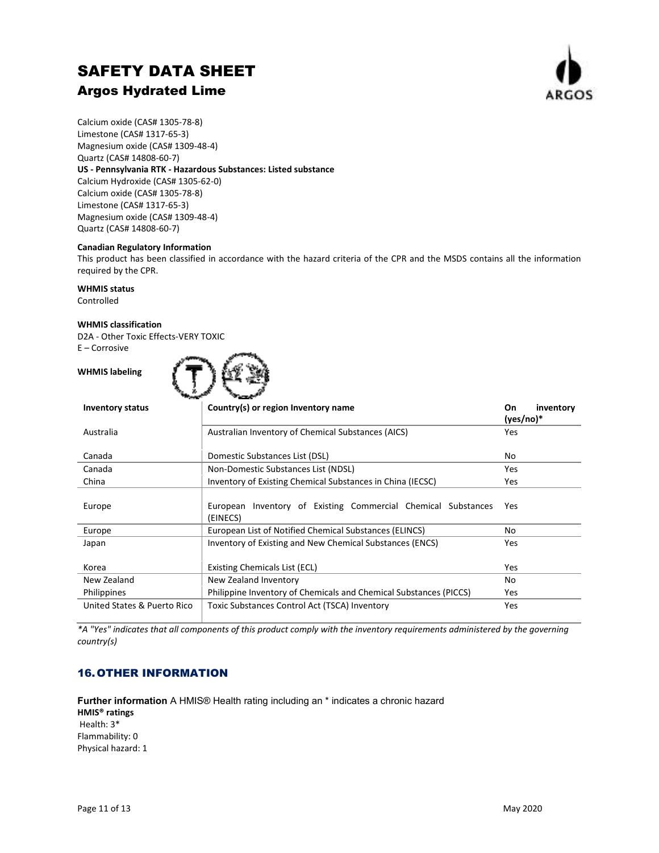

Calcium oxide (CAS# 1305-78-8) Limestone (CAS# 1317-65-3) Magnesium oxide (CAS# 1309-48-4) Quartz (CAS# 14808-60-7) **US - Pennsylvania RTK - Hazardous Substances: Listed substance**  Calcium Hydroxide (CAS# 1305-62-0) Calcium oxide (CAS# 1305-78-8) Limestone (CAS# 1317-65-3) Magnesium oxide (CAS# 1309-48-4) Quartz (CAS# 14808-60-7)

ren Kal

### **Canadian Regulatory Information**

This product has been classified in accordance with the hazard criteria of the CPR and the MSDS contains all the information required by the CPR.

#### **WHMIS status**

Controlled

### **WHMIS classification**

D2A - Other Toxic Effects-VERY TOXIC E – Corrosive

| <b>WHMIS labeling</b>       |                                                                           |                                |
|-----------------------------|---------------------------------------------------------------------------|--------------------------------|
| <b>Inventory status</b>     | Country(s) or region Inventory name                                       | inventory<br>On<br>$(yes/no)*$ |
| Australia                   | Australian Inventory of Chemical Substances (AICS)                        | <b>Yes</b>                     |
| Canada                      | Domestic Substances List (DSL)                                            | No                             |
| Canada                      | Non-Domestic Substances List (NDSL)                                       | <b>Yes</b>                     |
| China                       | Inventory of Existing Chemical Substances in China (IECSC)                | Yes                            |
| Europe                      | European Inventory of Existing Commercial Chemical Substances<br>(EINECS) | Yes                            |
| Europe                      | European List of Notified Chemical Substances (ELINCS)                    | No                             |
| Japan                       | Inventory of Existing and New Chemical Substances (ENCS)                  | Yes                            |
| Korea                       | <b>Existing Chemicals List (ECL)</b>                                      | Yes                            |
| New Zealand                 | New Zealand Inventory                                                     | No                             |
| Philippines                 | Philippine Inventory of Chemicals and Chemical Substances (PICCS)         | Yes                            |
| United States & Puerto Rico | Toxic Substances Control Act (TSCA) Inventory                             | Yes                            |

*\*A "Yes" indicates that all components of this product comply with the inventory requirements administered by the governing country(s)* 

## 16. OTHER INFORMATION

**Further information** A HMIS® Health rating including an \* indicates a chronic hazard **HMIS® ratings**  Health: 3\* Flammability: 0 Physical hazard: 1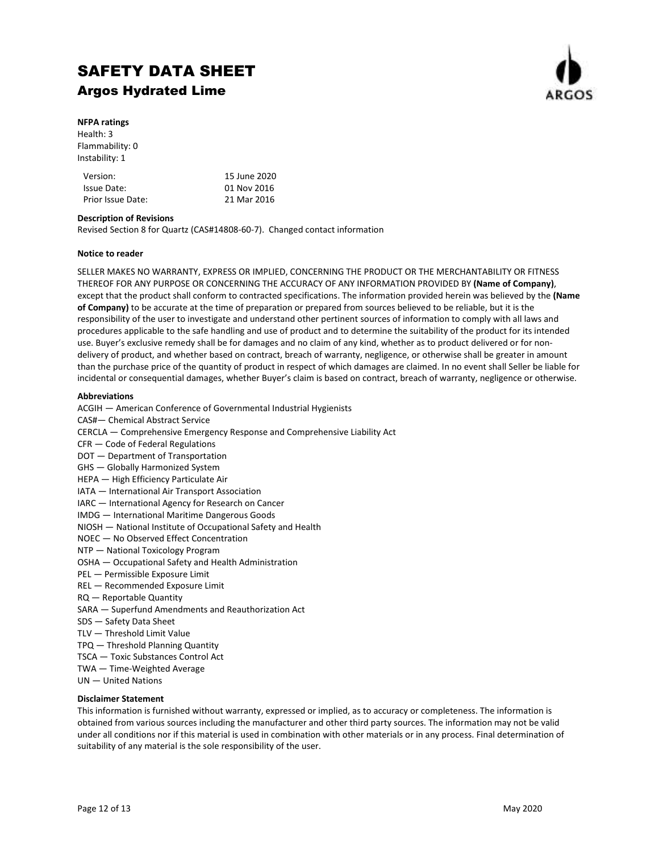

### **NFPA ratings**

Health: 3 Flammability: 0 Instability: 1

| Version:          | 15 June 2020 |
|-------------------|--------------|
| Issue Date:       | 01 Nov 2016  |
| Prior Issue Date: | 21 Mar 2016  |

### **Description of Revisions**

Revised Section 8 for Quartz (CAS#14808-60-7). Changed contact information

### **Notice to reader**

SELLER MAKES NO WARRANTY, EXPRESS OR IMPLIED, CONCERNING THE PRODUCT OR THE MERCHANTABILITY OR FITNESS THEREOF FOR ANY PURPOSE OR CONCERNING THE ACCURACY OF ANY INFORMATION PROVIDED BY **(Name of Company)**, except that the product shall conform to contracted specifications. The information provided herein was believed by the **(Name of Company)** to be accurate at the time of preparation or prepared from sources believed to be reliable, but it is the responsibility of the user to investigate and understand other pertinent sources of information to comply with all laws and procedures applicable to the safe handling and use of product and to determine the suitability of the product for its intended use. Buyer's exclusive remedy shall be for damages and no claim of any kind, whether as to product delivered or for nondelivery of product, and whether based on contract, breach of warranty, negligence, or otherwise shall be greater in amount than the purchase price of the quantity of product in respect of which damages are claimed. In no event shall Seller be liable for incidental or consequential damages, whether Buyer's claim is based on contract, breach of warranty, negligence or otherwise.

### **Abbreviations**

ACGIH — American Conference of Governmental Industrial Hygienists

- CAS#— Chemical Abstract Service
- CERCLA Comprehensive Emergency Response and Comprehensive Liability Act
- CFR Code of Federal Regulations
- DOT Department of Transportation
- GHS Globally Harmonized System
- HEPA High Efficiency Particulate Air
- IATA International Air Transport Association
- IARC International Agency for Research on Cancer
- IMDG International Maritime Dangerous Goods
- NIOSH National Institute of Occupational Safety and Health
- NOEC No Observed Effect Concentration
- NTP National Toxicology Program
- OSHA Occupational Safety and Health Administration
- PEL Permissible Exposure Limit
- REL Recommended Exposure Limit
- RQ Reportable Quantity
- SARA Superfund Amendments and Reauthorization Act
- SDS Safety Data Sheet
- TLV Threshold Limit Value
- TPQ Threshold Planning Quantity
- TSCA Toxic Substances Control Act
- TWA Time-Weighted Average
- UN United Nations

### **Disclaimer Statement**

This information is furnished without warranty, expressed or implied, as to accuracy or completeness. The information is obtained from various sources including the manufacturer and other third party sources. The information may not be valid under all conditions nor if this material is used in combination with other materials or in any process. Final determination of suitability of any material is the sole responsibility of the user.